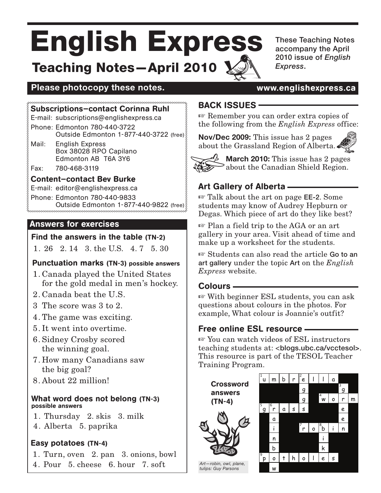# English Express Teaching Notes—April 2010

These Teaching Notes accompany the April 2010 issue of *English Express*.

# Please photocopy these notes. **WE are all assess www.englishexpress.ca**

#### Subscriptions—contact Corinna Ruhl

E-mail: subscriptions@englishexpress.ca

Phone: Edmonton 780-440-3722 Outside Edmonton 1-877-440-3722 (free)

Mail: English Express Box 38028 RPO Capilano Edmonton AB T6A 3Y6

Fax: 780-468-3119

Content—contact Bev Burke

E-mail: editor@englishexpress.ca

Phone: Edmonton 780-440-9833

Outside Edmonton 1-877-440-9822 (free)

#### Answers for exercises

#### Find the answers in the table (TN-2)

1. 26 2. 14 3. the U.S. 4. 7 5. 30

#### Punctuation marks (TN-3) possible answers

- 1. Canada played the United States for the gold medal in men's hockey.
- 2. Canada beat the U.S.
- 3 The score was 3 to 2.
- 4. The game was exciting.
- 5. It went into overtime.
- 6. Sidney Crosby scored the winning goal.
- 7. How many Canadians saw the big goal?
- 8. About 22 million!

#### What word does not belong (TN-3) possible answers

- 1. Thursday 2. skis 3. milk
- 4. Alberta 5. paprika

## Easy potatoes (TN-4)

1. Turn, oven 2. pan 3. onions, bowl 4. Pour 5. cheese 6. hour 7. soft

# BACK ISSUES

 $\mathbb{F}$  Remember you can order extra copies of the following from the *English Express* office:

**Nov/Dec 2009:** This issue has 2 pages about the Grassland Region of Alberta.





**March 2010:** This issue has 2 pages  $\geq$  about the Canadian Shield Region.

# Art Gallery of Alberta

 $\mathbb{F}$  Talk about the art on page **EE-2**. Some students may know of Audrey Hepburn or Degas. Which piece of art do they like best?

 $\mathbb{F}$  Plan a field trip to the AGA or an art gallery in your area. Visit ahead of time and make up a worksheet for the students.

■ Students can also read the article Go to an art gallery under the topic Art on the *English Express* website.

## Colours

 $\mathbb{F}$  With beginner ESL students, you can ask questions about colours in the photos. For example, What colour is Joannie's outfit?

# Free online ESL resource

teaching students at: <br/> <br/>blogs.ubc.ca/vcctesol>.  $\mathbb{R}$  You can watch videos of ESL instructors This resource is part of the TESOL Teacher Training Program.

Crossword answers (TN-4)



*Art—robin, owl, plane, tulips: Guy Parsons*

 $\frac{1}{u}$  | m | b | r  $\Big|^{2}$ e  $\begin{array}{|c|c|c|c|}\n^2 & 1 & 1 & a\n\end{array}$  $g \sim \frac{1}{g}$ 3  $\mathsf{q}$ ້w. o r m  $\frac{5}{9}$   $\begin{bmatrix} 6 \\ r & a \end{bmatrix}$  s s e a e  $\begin{bmatrix} 7 \\ r \end{bmatrix}$ o $\begin{bmatrix} 8 \\ b \end{bmatrix}$ i $\begin{bmatrix} n \end{bmatrix}$ n i b k p 9  $\circ$  t  $\upharpoonright$   $\upharpoonright$   $\circ$   $\upharpoonright$   $\downharpoonright$   $\circ$   $\upharpoonright$   $\circ$   $\upharpoonright$ w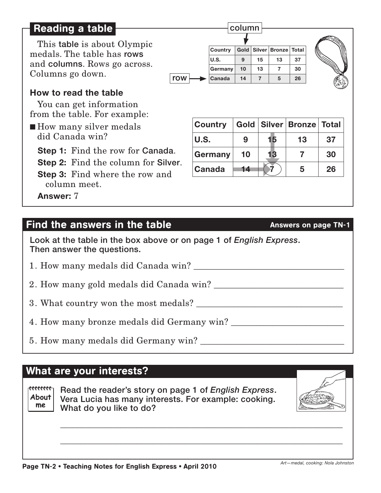# Reading a table

This table is about Olympic medals. The table has rows and columns. Rows go across. Columns go down.

# **How to read the table**

You can get information from the table. For example:

■ How many silver medals did Canada win?

**Step 1:** Find the row for Canada.

**Step 2:** Find the column for Silver.

**Step 3:** Find where the row and column meet.

**Answer:** 7

# Find the answers in the table Answers on page TN-1

Look at the table in the box above or on page 1 of *English Express*. Then answer the questions.

1. How many medals did Canada win? \_\_\_\_\_\_\_\_\_\_\_\_\_\_\_\_\_\_\_\_\_\_\_\_\_\_\_\_\_\_\_\_\_\_\_\_

2. How many gold medals did Canada win?

3. What country won the most medals?

4. How many bronze medals did Germany win?

5. How many medals did Germany win? \_\_\_\_\_\_\_\_\_\_\_\_\_\_\_\_\_\_\_\_\_\_\_\_\_\_\_\_\_\_\_\_\_\_\_

# What are your interests?

ecececec<sub>1</sub> **About me**

Read the reader's story on page 1 of *English Express*. Vera Lucia has many interests. For example: cooking. What do you like to do?

\_\_\_\_\_\_\_\_\_\_\_\_\_\_\_\_\_\_\_\_\_\_\_\_\_\_\_\_\_\_\_\_\_\_\_\_\_\_\_\_\_\_\_\_\_\_\_\_\_\_\_\_\_\_\_\_\_\_\_\_\_\_\_\_\_\_\_\_\_\_

\_\_\_\_\_\_\_\_\_\_\_\_\_\_\_\_\_\_\_\_\_\_\_\_\_\_\_\_\_\_\_\_\_\_\_\_\_\_\_\_\_\_\_\_\_\_\_\_\_\_\_\_\_\_\_\_\_\_\_\_\_\_\_\_\_\_\_\_\_\_

**Country Gold Silver Bronze Total U.S. 9 15 13 37 Germany 10 13 7 30** row **Canada <sup>14</sup> <sup>7</sup> <sup>5</sup> <sup>26</sup>**

column



| <b>Country</b> |    |    | Gold   Silver   Bronze   Total |    |
|----------------|----|----|--------------------------------|----|
| <b>IU.S.</b>   | 9  | 15 | 13                             | 37 |
| <b>Germany</b> | 10 | 13 |                                | 30 |
| <b>Canada</b>  | 14 |    | 5                              | 26 |



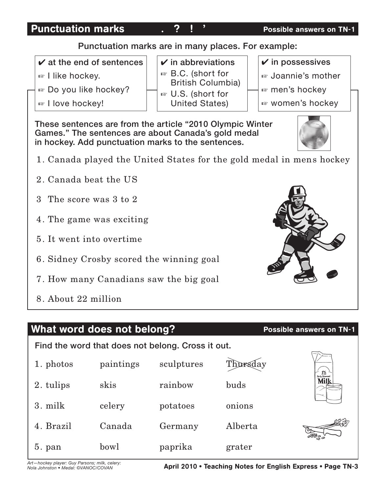# Punctuation marks and  $\overline{?}$  !  $\overline{?}$  and  $\overline{?}$  are possible answers on TN-1

# Punctuation marks are in many places. For example:

- $\boldsymbol{\nu}$  at the end of sentences
- $\mathbb{F}$  I like hockey.
- $\approx$  Do you like hockey?
- <sub>■</sub> I love hockey!

 $\checkmark$  in abbreviations ☞ B.C. (short for

British Columbia)

 $\mathbb E$  U.S. (short for United States)  $\checkmark$  in possessives

- <sup>■</sup> Joannie's mother
- $\mathbb F$  men's hockey
- $\approx$  women's hockey

These sentences are from the article "2010 Olympic Winter Games." The sentences are about Canada's gold medal in hockey. Add punctuation marks to the sentences.



- 1. Canada played the United States for the gold medal in mens hockey
- 2. Canada beat the US
- 3 The score was 3 to 2
- 4. The game was exciting
- 5. It went into overtime
- 6. Sidney Crosby scored the winning goal
- 7. How many Canadians saw the big goal
- 8. About 22 million

# What word does not belong? Possible answers on TN-1

Find the word that does not belong. Cross it out.



*Art—hockey player: Guy Parsons; milk, celery: Nola Johnston • Medal: ©VANOC/COVAN*

April 2010 • Teaching Notes for English Express • Page TN-3